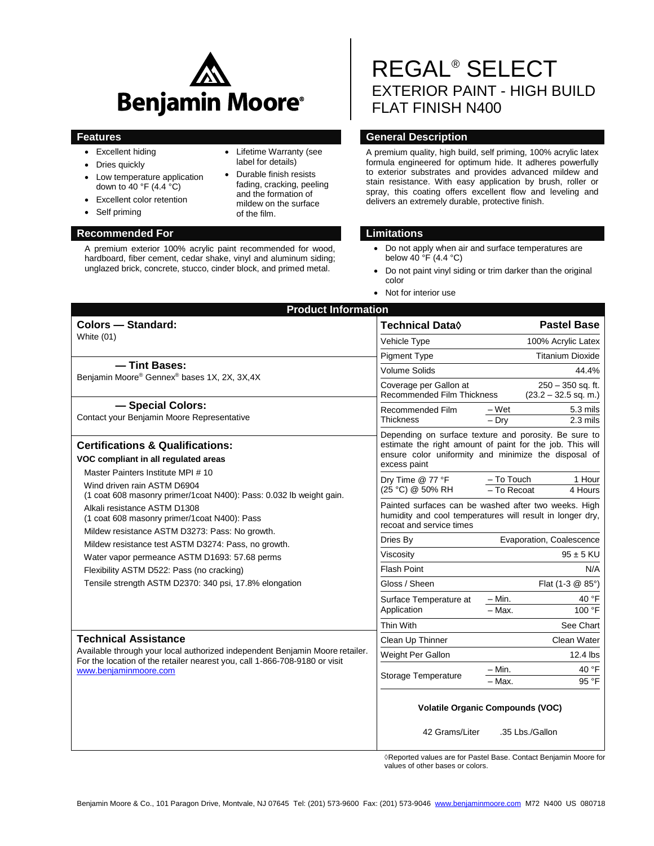

 Lifetime Warranty (see label for details) Durable finish resists fading, cracking, peeling and the formation of mildew on the surface

of the film.

- Excellent hiding
- Dries quickly
- Low temperature application down to 40  $\degree$ F (4.4  $\degree$ C)
- Excellent color retention
- Self priming

### **Recommended For Limitations**

A premium exterior 100% acrylic paint recommended for wood, hardboard, fiber cement, cedar shake, vinyl and aluminum siding; unglazed brick, concrete, stucco, cinder block, and primed metal.

# REGAL® SELECT EXTERIOR PAINT - HIGH BUILD FLAT FINISH N400

## **Features General Description**

A premium quality, high build, self priming, 100% acrylic latex formula engineered for optimum hide. It adheres powerfully to exterior substrates and provides advanced mildew and stain resistance. With easy application by brush, roller or spray, this coating offers excellent flow and leveling and delivers an extremely durable, protective finish.

- Do not apply when air and surface temperatures are below 40 °F (4.4 °C)
- Do not paint vinyl siding or trim darker than the original color
- Not for interior use

| <b>Product Information</b>                                                                                                                                                                                         |                                                                                                                                                                                            |  |  |
|--------------------------------------------------------------------------------------------------------------------------------------------------------------------------------------------------------------------|--------------------------------------------------------------------------------------------------------------------------------------------------------------------------------------------|--|--|
| <b>Colors - Standard:</b>                                                                                                                                                                                          | <b>Pastel Base</b><br><b>Technical Data</b> ♦                                                                                                                                              |  |  |
| White $(01)$                                                                                                                                                                                                       | Vehicle Type<br>100% Acrylic Latex                                                                                                                                                         |  |  |
|                                                                                                                                                                                                                    | <b>Titanium Dioxide</b><br><b>Pigment Type</b>                                                                                                                                             |  |  |
| -Tint Bases:<br>Benjamin Moore® Gennex® bases 1X, 2X, 3X,4X                                                                                                                                                        | <b>Volume Solids</b><br>44.4%                                                                                                                                                              |  |  |
|                                                                                                                                                                                                                    | Coverage per Gallon at<br>$250 - 350$ sq. ft.<br>Recommended Film Thickness<br>$(23.2 - 32.5$ sq. m.)                                                                                      |  |  |
| - Special Colors:                                                                                                                                                                                                  | 5.3 mils<br>Recommended Film<br>– Wet                                                                                                                                                      |  |  |
| Contact your Benjamin Moore Representative                                                                                                                                                                         | <b>Thickness</b><br>$2.3$ mils<br>$-$ Dry                                                                                                                                                  |  |  |
| <b>Certifications &amp; Qualifications:</b><br>VOC compliant in all regulated areas                                                                                                                                | Depending on surface texture and porosity. Be sure to<br>estimate the right amount of paint for the job. This will<br>ensure color uniformity and minimize the disposal of<br>excess paint |  |  |
| Master Painters Institute MPI # 10                                                                                                                                                                                 |                                                                                                                                                                                            |  |  |
| Wind driven rain ASTM D6904<br>(1 coat 608 masonry primer/1coat N400): Pass: 0.032 lb weight gain.                                                                                                                 | - To Touch<br>1 Hour<br>Dry Time @ 77 °F<br>(25 °C) @ 50% RH<br>- To Recoat<br>4 Hours                                                                                                     |  |  |
| Alkali resistance ASTM D1308<br>(1 coat 608 masonry primer/1coat N400): Pass                                                                                                                                       | Painted surfaces can be washed after two weeks. High<br>humidity and cool temperatures will result in longer dry,<br>recoat and service times                                              |  |  |
| Mildew resistance ASTM D3273: Pass: No growth.                                                                                                                                                                     | Evaporation, Coalescence<br>Dries By                                                                                                                                                       |  |  |
| Mildew resistance test ASTM D3274: Pass, no growth.                                                                                                                                                                | $95 \pm 5$ KU<br>Viscosity                                                                                                                                                                 |  |  |
| Water vapor permeance ASTM D1693: 57.68 perms                                                                                                                                                                      | <b>Flash Point</b><br>N/A                                                                                                                                                                  |  |  |
| Flexibility ASTM D522: Pass (no cracking)<br>Tensile strength ASTM D2370: 340 psi, 17.8% elongation                                                                                                                | Gloss / Sheen<br>Flat (1-3 @ 85°)                                                                                                                                                          |  |  |
|                                                                                                                                                                                                                    |                                                                                                                                                                                            |  |  |
|                                                                                                                                                                                                                    | – Min.<br>40 °F<br>Surface Temperature at<br>Application<br>100 °F<br>$-$ Max.                                                                                                             |  |  |
|                                                                                                                                                                                                                    | Thin With<br>See Chart                                                                                                                                                                     |  |  |
| <b>Technical Assistance</b><br>Available through your local authorized independent Benjamin Moore retailer.<br>For the location of the retailer nearest you, call 1-866-708-9180 or visit<br>www.benjaminmoore.com | Clean Up Thinner<br>Clean Water                                                                                                                                                            |  |  |
|                                                                                                                                                                                                                    | Weight Per Gallon<br>12.4 lbs                                                                                                                                                              |  |  |
|                                                                                                                                                                                                                    | 40 °F<br>$-$ Min.<br>Storage Temperature<br>95 °F<br>$-$ Max.                                                                                                                              |  |  |
|                                                                                                                                                                                                                    | <b>Volatile Organic Compounds (VOC)</b><br>42 Grams/Liter<br>.35 Lbs./Gallon                                                                                                               |  |  |
|                                                                                                                                                                                                                    |                                                                                                                                                                                            |  |  |

◊Reported values are for Pastel Base. Contact Benjamin Moore for values of other bases or colors.